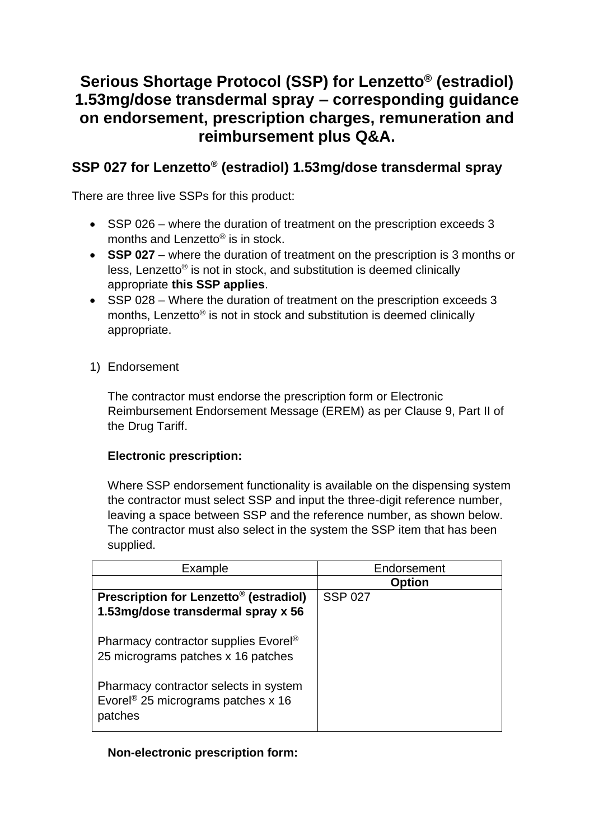# **Serious Shortage Protocol (SSP) for Lenzetto® (estradiol) 1.53mg/dose transdermal spray – corresponding guidance on endorsement, prescription charges, remuneration and reimbursement plus Q&A.**

## **SSP 027 for Lenzetto® (estradiol) 1.53mg/dose transdermal spray**

There are three live SSPs for this product:

- SSP 026 where the duration of treatment on the prescription exceeds 3 months and Lenzetto® is in stock.
- **SSP 027** where the duration of treatment on the prescription is 3 months or less, Lenzetto® is not in stock, and substitution is deemed clinically appropriate **this SSP applies**.
- SSP 028 Where the duration of treatment on the prescription exceeds 3 months, Lenzetto® is not in stock and substitution is deemed clinically appropriate.
- 1) Endorsement

The contractor must endorse the prescription form or Electronic Reimbursement Endorsement Message (EREM) as per Clause 9, Part II of the Drug Tariff.

## **Electronic prescription:**

Where SSP endorsement functionality is available on the dispensing system the contractor must select SSP and input the three-digit reference number, leaving a space between SSP and the reference number, as shown below. The contractor must also select in the system the SSP item that has been supplied.

| Example                                            | Endorsement    |  |  |
|----------------------------------------------------|----------------|--|--|
|                                                    | <b>Option</b>  |  |  |
| Prescription for Lenzetto <sup>®</sup> (estradiol) | <b>SSP 027</b> |  |  |
| 1.53mg/dose transdermal spray x 56                 |                |  |  |
|                                                    |                |  |  |
| Pharmacy contractor supplies Evorel®               |                |  |  |
| 25 micrograms patches x 16 patches                 |                |  |  |
|                                                    |                |  |  |
| Pharmacy contractor selects in system              |                |  |  |
| Evorel <sup>®</sup> 25 micrograms patches x 16     |                |  |  |
| patches                                            |                |  |  |
|                                                    |                |  |  |

## **Non-electronic prescription form:**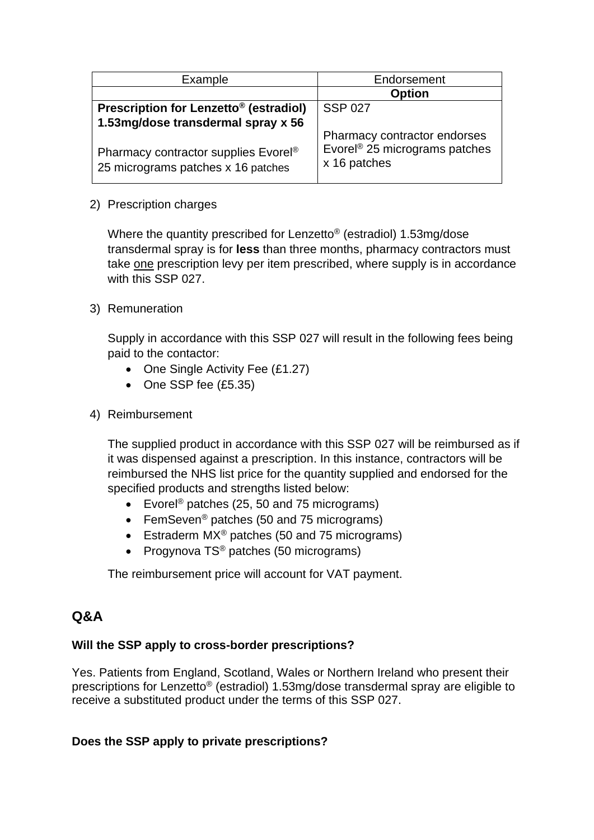| Example                                                                                                                      | Endorsement                                                                               |  |  |
|------------------------------------------------------------------------------------------------------------------------------|-------------------------------------------------------------------------------------------|--|--|
|                                                                                                                              | <b>Option</b>                                                                             |  |  |
| Prescription for Lenzetto <sup>®</sup> (estradiol)                                                                           | <b>SSP 027</b>                                                                            |  |  |
| 1.53mg/dose transdermal spray x 56<br>Pharmacy contractor supplies Evorel <sup>®</sup><br>25 micrograms patches x 16 patches | Pharmacy contractor endorses<br>Evorel <sup>®</sup> 25 micrograms patches<br>x 16 patches |  |  |

#### 2) Prescription charges

Where the quantity prescribed for Lenzetto® (estradiol) 1.53mg/dose transdermal spray is for **less** than three months, pharmacy contractors must take one prescription levy per item prescribed, where supply is in accordance with this SSP 027.

#### 3) Remuneration

Supply in accordance with this SSP 027 will result in the following fees being paid to the contactor:

- One Single Activity Fee (£1.27)
- One SSP fee (£5.35)
- 4) Reimbursement

The supplied product in accordance with this SSP 027 will be reimbursed as if it was dispensed against a prescription. In this instance, contractors will be reimbursed the NHS list price for the quantity supplied and endorsed for the specified products and strengths listed below:

- Evorel<sup>®</sup> patches (25, 50 and 75 micrograms)
- FemSeven<sup>®</sup> patches (50 and 75 micrograms)
- Estraderm MX<sup>®</sup> patches (50 and 75 micrograms)
- Progynova TS® patches (50 micrograms)

The reimbursement price will account for VAT payment.

## **Q&A**

## **Will the SSP apply to cross-border prescriptions?**

Yes. Patients from England, Scotland, Wales or Northern Ireland who present their prescriptions for Lenzetto® (estradiol) 1.53mg/dose transdermal spray are eligible to receive a substituted product under the terms of this SSP 027.

## **Does the SSP apply to private prescriptions?**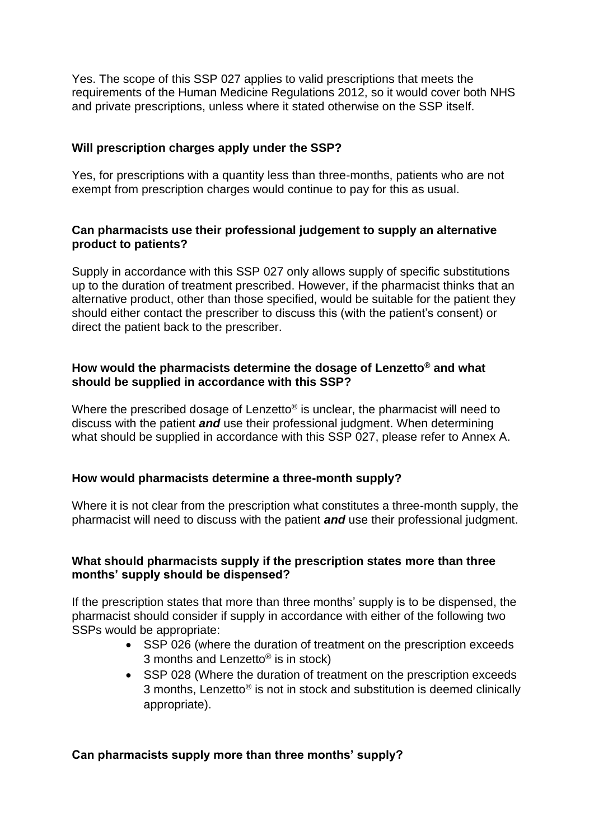Yes. The scope of this SSP 027 applies to valid prescriptions that meets the requirements of the Human Medicine Regulations 2012, so it would cover both NHS and private prescriptions, unless where it stated otherwise on the SSP itself.

#### **Will prescription charges apply under the SSP?**

Yes, for prescriptions with a quantity less than three-months, patients who are not exempt from prescription charges would continue to pay for this as usual.

#### **Can pharmacists use their professional judgement to supply an alternative product to patients?**

Supply in accordance with this SSP 027 only allows supply of specific substitutions up to the duration of treatment prescribed. However, if the pharmacist thinks that an alternative product, other than those specified, would be suitable for the patient they should either contact the prescriber to discuss this (with the patient's consent) or direct the patient back to the prescriber.

#### **How would the pharmacists determine the dosage of Lenzetto® and what should be supplied in accordance with this SSP?**

Where the prescribed dosage of Lenzetto<sup>®</sup> is unclear, the pharmacist will need to discuss with the patient *and* use their professional judgment. When determining what should be supplied in accordance with this SSP 027, please refer to Annex A.

#### **How would pharmacists determine a three-month supply?**

Where it is not clear from the prescription what constitutes a three-month supply, the pharmacist will need to discuss with the patient *and* use their professional judgment.

#### **What should pharmacists supply if the prescription states more than three months' supply should be dispensed?**

If the prescription states that more than three months' supply is to be dispensed, the pharmacist should consider if supply in accordance with either of the following two SSPs would be appropriate:

- SSP 026 (where the duration of treatment on the prescription exceeds 3 months and Lenzetto® is in stock)
- SSP 028 (Where the duration of treatment on the prescription exceeds 3 months, Lenzetto® is not in stock and substitution is deemed clinically appropriate).

#### **Can pharmacists supply more than three months' supply?**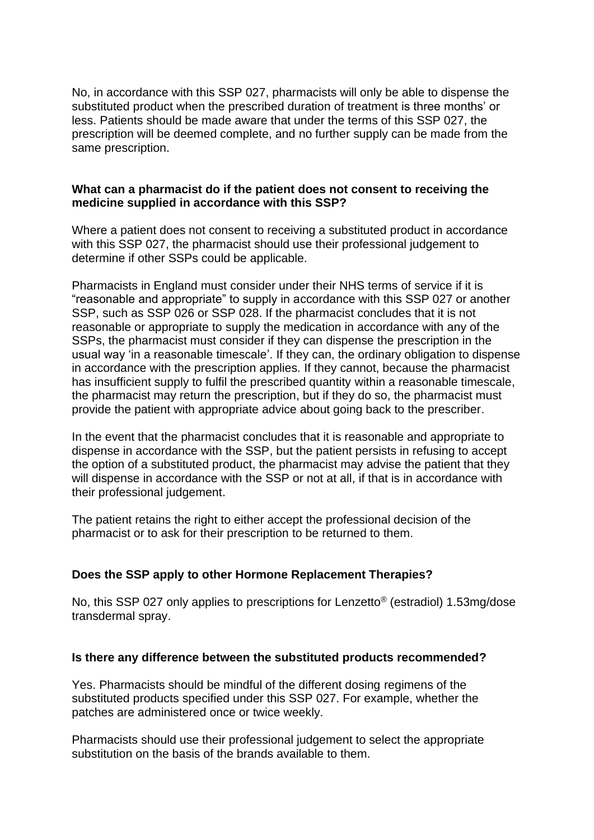No, in accordance with this SSP 027, pharmacists will only be able to dispense the substituted product when the prescribed duration of treatment is three months' or less. Patients should be made aware that under the terms of this SSP 027, the prescription will be deemed complete, and no further supply can be made from the same prescription.

#### **What can a pharmacist do if the patient does not consent to receiving the medicine supplied in accordance with this SSP?**

Where a patient does not consent to receiving a substituted product in accordance with this SSP 027, the pharmacist should use their professional judgement to determine if other SSPs could be applicable.

Pharmacists in England must consider under their NHS terms of service if it is "reasonable and appropriate" to supply in accordance with this SSP 027 or another SSP, such as SSP 026 or SSP 028. If the pharmacist concludes that it is not reasonable or appropriate to supply the medication in accordance with any of the SSPs, the pharmacist must consider if they can dispense the prescription in the usual way 'in a reasonable timescale'. If they can, the ordinary obligation to dispense in accordance with the prescription applies. If they cannot, because the pharmacist has insufficient supply to fulfil the prescribed quantity within a reasonable timescale, the pharmacist may return the prescription, but if they do so, the pharmacist must provide the patient with appropriate advice about going back to the prescriber.

In the event that the pharmacist concludes that it is reasonable and appropriate to dispense in accordance with the SSP, but the patient persists in refusing to accept the option of a substituted product, the pharmacist may advise the patient that they will dispense in accordance with the SSP or not at all, if that is in accordance with their professional judgement.

The patient retains the right to either accept the professional decision of the pharmacist or to ask for their prescription to be returned to them.

## **Does the SSP apply to other Hormone Replacement Therapies?**

No, this SSP 027 only applies to prescriptions for Lenzetto® (estradiol) 1.53mg/dose transdermal spray.

#### **Is there any difference between the substituted products recommended?**

Yes. Pharmacists should be mindful of the different dosing regimens of the substituted products specified under this SSP 027. For example, whether the patches are administered once or twice weekly.

Pharmacists should use their professional judgement to select the appropriate substitution on the basis of the brands available to them.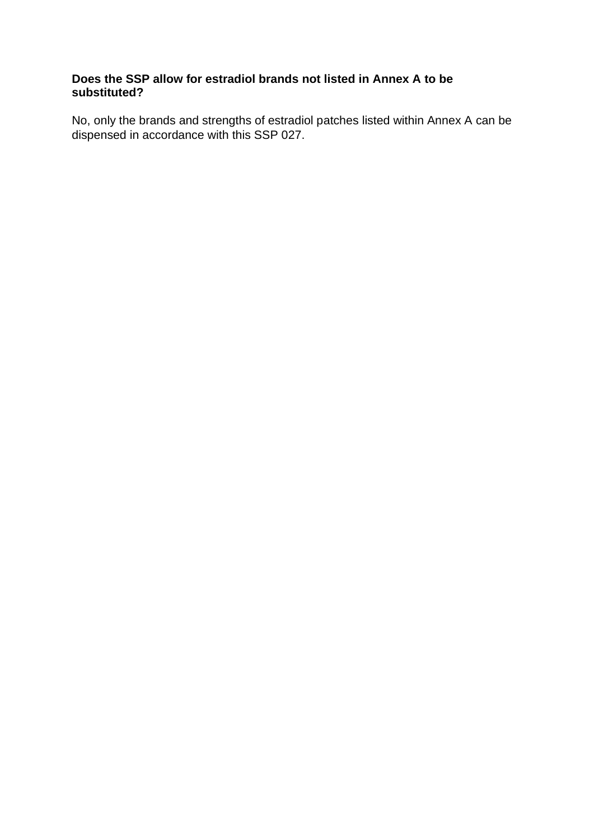## **Does the SSP allow for estradiol brands not listed in Annex A to be substituted?**

No, only the brands and strengths of estradiol patches listed within Annex A can be dispensed in accordance with this SSP 027.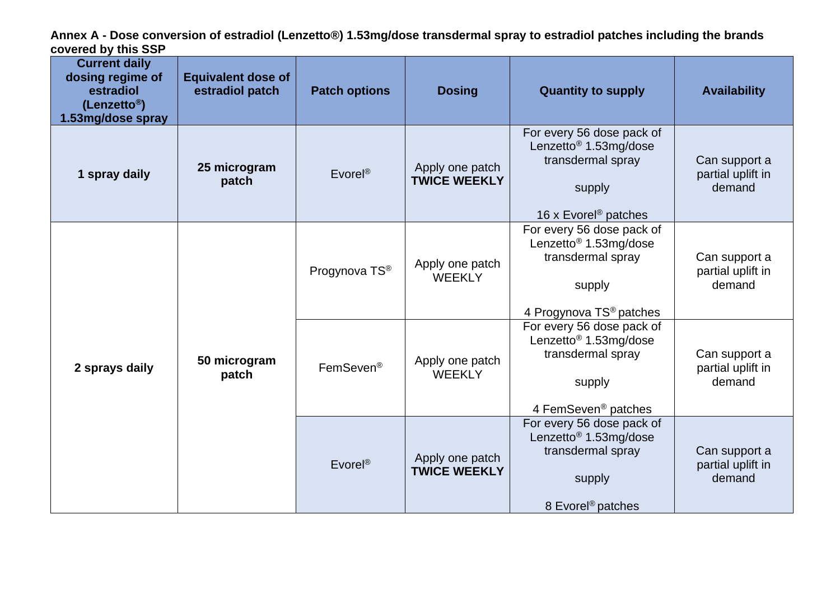**Annex A - Dose conversion of estradiol (Lenzetto®) 1.53mg/dose transdermal spray to estradiol patches including the brands covered by this SSP**

| <b>Current daily</b><br>dosing regime of<br>estradiol<br>(Lenzetto <sup>®</sup> )<br>1.53mg/dose spray | <b>Equivalent dose of</b><br>estradiol patch | <b>Patch options</b>  | <b>Dosing</b>                          | <b>Quantity to supply</b>                                                                                                            | <b>Availability</b>                          |
|--------------------------------------------------------------------------------------------------------|----------------------------------------------|-----------------------|----------------------------------------|--------------------------------------------------------------------------------------------------------------------------------------|----------------------------------------------|
| 1 spray daily                                                                                          | 25 microgram<br>patch                        | Evorel <sup>®</sup>   | Apply one patch<br><b>TWICE WEEKLY</b> | For every 56 dose pack of<br>Lenzetto <sup>®</sup> 1.53mg/dose<br>transdermal spray<br>supply<br>16 x Evorel <sup>®</sup> patches    | Can support a<br>partial uplift in<br>demand |
| 2 sprays daily                                                                                         | 50 microgram<br>patch                        | Progynova TS®         | Apply one patch<br><b>WEEKLY</b>       | For every 56 dose pack of<br>Lenzetto <sup>®</sup> 1.53mg/dose<br>transdermal spray<br>supply<br>4 Progynova TS <sup>®</sup> patches | Can support a<br>partial uplift in<br>demand |
|                                                                                                        |                                              | FemSeven <sup>®</sup> | Apply one patch<br><b>WEEKLY</b>       | For every 56 dose pack of<br>Lenzetto <sup>®</sup> 1.53mg/dose<br>transdermal spray<br>supply<br>4 FemSeven <sup>®</sup> patches     | Can support a<br>partial uplift in<br>demand |
|                                                                                                        |                                              | Evorel <sup>®</sup>   | Apply one patch<br><b>TWICE WEEKLY</b> | For every 56 dose pack of<br>Lenzetto <sup>®</sup> 1.53mg/dose<br>transdermal spray<br>supply<br>8 Evorel <sup>®</sup> patches       | Can support a<br>partial uplift in<br>demand |